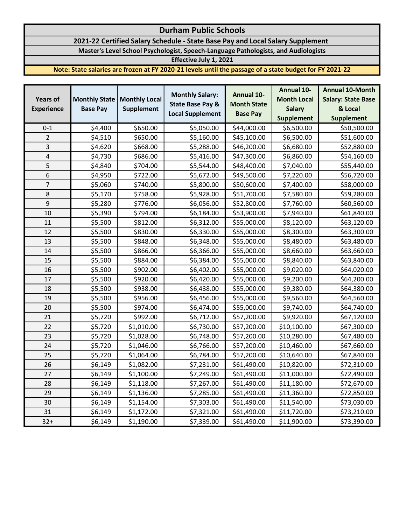# Durham Public Schools

## 2021-22 Certified Salary Schedule - State Base Pay and Local Salary Supplement

Master's Level School Psychologist, Speech-Language Pathologists, and Audiologists

Effective July 1, 2021

Note: State salaries are frozen at FY 2020-21 levels until the passage of a state budget for FY 2021-22

| <b>Years of</b>   | <b>Monthly State</b> | <b>Monthly Local</b> | <b>Monthly Salary:</b><br><b>State Base Pay &amp;</b> | <b>Annual 10-</b><br><b>Month State</b> | <b>Annual 10-</b>  | <b>Annual 10-Month</b>    |
|-------------------|----------------------|----------------------|-------------------------------------------------------|-----------------------------------------|--------------------|---------------------------|
|                   |                      |                      |                                                       |                                         | <b>Month Local</b> | <b>Salary: State Base</b> |
| <b>Experience</b> | <b>Base Pay</b>      | <b>Supplement</b>    |                                                       |                                         | <b>Salary</b>      | & Local                   |
|                   |                      |                      | <b>Local Supplement</b>                               | <b>Base Pay</b>                         | <b>Supplement</b>  | <b>Supplement</b>         |
| $0 - 1$           | \$4,400              | \$650.00             | \$5,050.00                                            | \$44,000.00                             | \$6,500.00         | \$50,500.00               |
| $\overline{2}$    | \$4,510              | \$650.00             | \$5,160.00                                            | \$45,100.00                             | \$6,500.00         | \$51,600.00               |
| 3                 | \$4,620              | \$668.00             | \$5,288.00                                            | \$46,200.00                             | \$6,680.00         | \$52,880.00               |
| 4                 | \$4,730              | \$686.00             | \$5,416.00                                            | \$47,300.00                             | \$6,860.00         | \$54,160.00               |
| 5                 | \$4,840              | \$704.00             | \$5,544.00                                            | \$48,400.00                             | \$7,040.00         | \$55,440.00               |
| 6                 | \$4,950              | \$722.00             | \$5,672.00                                            | \$49,500.00                             | \$7,220.00         | \$56,720.00               |
| 7                 | \$5,060              | \$740.00             | \$5,800.00                                            | \$50,600.00                             | \$7,400.00         | \$58,000.00               |
| 8                 | \$5,170              | \$758.00             | \$5,928.00                                            | \$51,700.00                             | \$7,580.00         | \$59,280.00               |
| 9                 | \$5,280              | \$776.00             | \$6,056.00                                            | \$52,800.00                             | \$7,760.00         | \$60,560.00               |
| 10                | \$5,390              | \$794.00             | \$6,184.00                                            | \$53,900.00                             | \$7,940.00         | \$61,840.00               |
| 11                | \$5,500              | \$812.00             | \$6,312.00                                            | \$55,000.00                             | \$8,120.00         | \$63,120.00               |
| 12                | \$5,500              | \$830.00             | \$6,330.00                                            | \$55,000.00                             | \$8,300.00         | \$63,300.00               |
| 13                | \$5,500              | \$848.00             | \$6,348.00                                            | \$55,000.00                             | \$8,480.00         | \$63,480.00               |
| 14                | \$5,500              | \$866.00             | \$6,366.00                                            | \$55,000.00                             | \$8,660.00         | \$63,660.00               |
| 15                | \$5,500              | \$884.00             | \$6,384.00                                            | \$55,000.00                             | \$8,840.00         | \$63,840.00               |
| 16                | \$5,500              | \$902.00             | \$6,402.00                                            | \$55,000.00                             | \$9,020.00         | \$64,020.00               |
| 17                | \$5,500              | \$920.00             | \$6,420.00                                            | \$55,000.00                             | \$9,200.00         | \$64,200.00               |
| 18                | \$5,500              | \$938.00             | \$6,438.00                                            | \$55,000.00                             | \$9,380.00         | \$64,380.00               |
| 19                | \$5,500              | \$956.00             | \$6,456.00                                            | \$55,000.00                             | \$9,560.00         | \$64,560.00               |
| 20                | \$5,500              | \$974.00             | \$6,474.00                                            | \$55,000.00                             | \$9,740.00         | \$64,740.00               |
| 21                | \$5,720              | \$992.00             | \$6,712.00                                            | \$57,200.00                             | \$9,920.00         | \$67,120.00               |
| 22                | \$5,720              | \$1,010.00           | \$6,730.00                                            | \$57,200.00                             | \$10,100.00        | \$67,300.00               |
| 23                | \$5,720              | \$1,028.00           | \$6,748.00                                            | \$57,200.00                             | \$10,280.00        | \$67,480.00               |
| 24                | \$5,720              | \$1,046.00           | \$6,766.00                                            | \$57,200.00                             | \$10,460.00        | \$67,660.00               |
| 25                | \$5,720              | \$1,064.00           | \$6,784.00                                            | \$57,200.00                             | \$10,640.00        | \$67,840.00               |
| 26                | \$6,149              | \$1,082.00           | \$7,231.00                                            | \$61,490.00                             | \$10,820.00        | \$72,310.00               |
| 27                | \$6,149              | \$1,100.00           | \$7,249.00                                            | \$61,490.00                             | \$11,000.00        | \$72,490.00               |
| 28                | \$6,149              | \$1,118.00           | \$7,267.00                                            | \$61,490.00                             | \$11,180.00        | \$72,670.00               |
| 29                | \$6,149              | \$1,136.00           | \$7,285.00                                            | \$61,490.00                             | \$11,360.00        | \$72,850.00               |
| 30                | \$6,149              | \$1,154.00           | \$7,303.00                                            | \$61,490.00                             | \$11,540.00        | \$73,030.00               |
| 31                | \$6,149              | \$1,172.00           | \$7,321.00                                            | \$61,490.00                             | \$11,720.00        | \$73,210.00               |
| $32+$             | \$6,149              | \$1,190.00           | \$7,339.00                                            | \$61,490.00                             | \$11,900.00        | \$73,390.00               |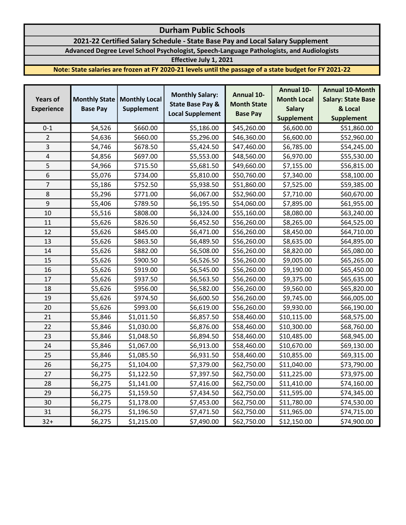# Durham Public Schools

### 2021-22 Certified Salary Schedule - State Base Pay and Local Salary Supplement

Advanced Degree Level School Psychologist, Speech-Language Pathologists, and Audiologists

Effective July 1, 2021

Note: State salaries are frozen at FY 2020-21 levels until the passage of a state budget for FY 2021-22

| <b>Years of</b>   | <b>Monthly State</b> | <b>Monthly Local</b> | <b>Monthly Salary:</b><br><b>State Base Pay &amp;</b> | <b>Annual 10-</b><br><b>Month State</b> | <b>Annual 10-</b>  | <b>Annual 10-Month</b>    |
|-------------------|----------------------|----------------------|-------------------------------------------------------|-----------------------------------------|--------------------|---------------------------|
|                   |                      |                      |                                                       |                                         | <b>Month Local</b> | <b>Salary: State Base</b> |
| <b>Experience</b> | <b>Base Pay</b>      | <b>Supplement</b>    | <b>Local Supplement</b>                               | <b>Base Pay</b>                         | <b>Salary</b>      | & Local                   |
|                   |                      |                      |                                                       |                                         | <b>Supplement</b>  | <b>Supplement</b>         |
| $0 - 1$           | \$4,526              | \$660.00             | \$5,186.00                                            | \$45,260.00                             | \$6,600.00         | \$51,860.00               |
| $\overline{2}$    | \$4,636              | \$660.00             | \$5,296.00                                            | \$46,360.00                             | \$6,600.00         | \$52,960.00               |
| 3                 | \$4,746              | \$678.50             | \$5,424.50                                            | \$47,460.00                             | \$6,785.00         | \$54,245.00               |
| 4                 | \$4,856              | \$697.00             | \$5,553.00                                            | \$48,560.00                             | \$6,970.00         | \$55,530.00               |
| 5                 | \$4,966              | \$715.50             | \$5,681.50                                            | \$49,660.00                             | \$7,155.00         | \$56,815.00               |
| 6                 | \$5,076              | \$734.00             | \$5,810.00                                            | \$50,760.00                             | \$7,340.00         | \$58,100.00               |
| $\overline{7}$    | \$5,186              | \$752.50             | \$5,938.50                                            | \$51,860.00                             | \$7,525.00         | \$59,385.00               |
| 8                 | \$5,296              | \$771.00             | \$6,067.00                                            | \$52,960.00                             | \$7,710.00         | \$60,670.00               |
| 9                 | \$5,406              | \$789.50             | \$6,195.50                                            | \$54,060.00                             | \$7,895.00         | \$61,955.00               |
| 10                | \$5,516              | \$808.00             | \$6,324.00                                            | \$55,160.00                             | \$8,080.00         | \$63,240.00               |
| 11                | \$5,626              | \$826.50             | \$6,452.50                                            | \$56,260.00                             | \$8,265.00         | \$64,525.00               |
| 12                | \$5,626              | \$845.00             | \$6,471.00                                            | \$56,260.00                             | \$8,450.00         | \$64,710.00               |
| 13                | \$5,626              | \$863.50             | \$6,489.50                                            | \$56,260.00                             | \$8,635.00         | \$64,895.00               |
| 14                | \$5,626              | \$882.00             | \$6,508.00                                            | \$56,260.00                             | \$8,820.00         | \$65,080.00               |
| 15                | \$5,626              | \$900.50             | \$6,526.50                                            | \$56,260.00                             | \$9,005.00         | \$65,265.00               |
| 16                | \$5,626              | \$919.00             | \$6,545.00                                            | \$56,260.00                             | \$9,190.00         | \$65,450.00               |
| 17                | \$5,626              | \$937.50             | \$6,563.50                                            | \$56,260.00                             | \$9,375.00         | \$65,635.00               |
| 18                | \$5,626              | \$956.00             | \$6,582.00                                            | \$56,260.00                             | \$9,560.00         | \$65,820.00               |
| 19                | \$5,626              | \$974.50             | \$6,600.50                                            | \$56,260.00                             | \$9,745.00         | \$66,005.00               |
| 20                | \$5,626              | \$993.00             | \$6,619.00                                            | \$56,260.00                             | \$9,930.00         | \$66,190.00               |
| 21                | \$5,846              | \$1,011.50           | \$6,857.50                                            | \$58,460.00                             | \$10,115.00        | \$68,575.00               |
| 22                | \$5,846              | \$1,030.00           | \$6,876.00                                            | \$58,460.00                             | \$10,300.00        | \$68,760.00               |
| 23                | \$5,846              | \$1,048.50           | \$6,894.50                                            | \$58,460.00                             | \$10,485.00        | \$68,945.00               |
| 24                | \$5,846              | \$1,067.00           | \$6,913.00                                            | \$58,460.00                             | \$10,670.00        | \$69,130.00               |
| 25                | \$5,846              | \$1,085.50           | \$6,931.50                                            | \$58,460.00                             | \$10,855.00        | \$69,315.00               |
| 26                | \$6,275              | \$1,104.00           | \$7,379.00                                            | \$62,750.00                             | \$11,040.00        | \$73,790.00               |
| 27                | \$6,275              | \$1,122.50           | \$7,397.50                                            | \$62,750.00                             | \$11,225.00        | \$73,975.00               |
| 28                | \$6,275              | \$1,141.00           | \$7,416.00                                            | \$62,750.00                             | \$11,410.00        | \$74,160.00               |
| 29                | \$6,275              | \$1,159.50           | \$7,434.50                                            | \$62,750.00                             | \$11,595.00        | \$74,345.00               |
| 30                | \$6,275              | \$1,178.00           | \$7,453.00                                            | \$62,750.00                             | \$11,780.00        | \$74,530.00               |
| 31                | \$6,275              | \$1,196.50           | \$7,471.50                                            | \$62,750.00                             | \$11,965.00        | \$74,715.00               |
| $32+$             | \$6,275              | \$1,215.00           | \$7,490.00                                            | \$62,750.00                             | \$12,150.00        | \$74,900.00               |